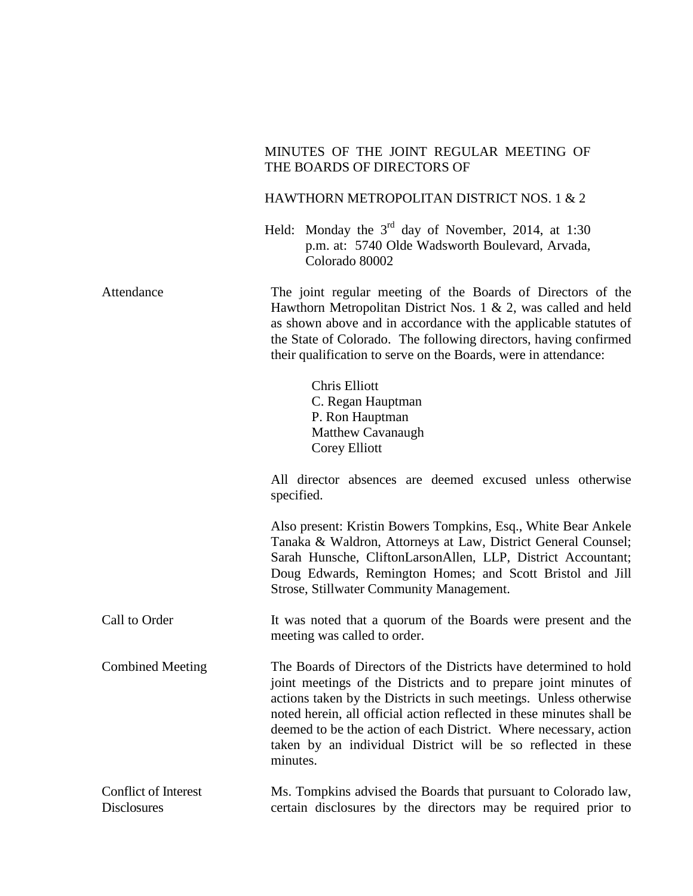## MINUTES OF THE JOINT REGULAR MEETING OF THE BOARDS OF DIRECTORS OF HAWTHORN METROPOLITAN DISTRICT NOS. 1 & 2 Held: Monday the  $3<sup>rd</sup>$  day of November, 2014, at 1:30 p.m. at: 5740 Olde Wadsworth Boulevard, Arvada, Colorado 80002 Attendance The joint regular meeting of the Boards of Directors of the Hawthorn Metropolitan District Nos. 1 & 2, was called and held as shown above and in accordance with the applicable statutes of the State of Colorado. The following directors, having confirmed their qualification to serve on the Boards, were in attendance: Chris Elliott C. Regan Hauptman P. Ron Hauptman Matthew Cavanaugh Corey Elliott All director absences are deemed excused unless otherwise specified. Also present: Kristin Bowers Tompkins, Esq., White Bear Ankele Tanaka & Waldron, Attorneys at Law, District General Counsel; Sarah Hunsche, CliftonLarsonAllen, LLP, District Accountant; Doug Edwards, Remington Homes; and Scott Bristol and Jill Strose, Stillwater Community Management. Call to Order Combined Meeting It was noted that a quorum of the Boards were present and the meeting was called to order. The Boards of Directors of the Districts have determined to hold joint meetings of the Districts and to prepare joint minutes of actions taken by the Districts in such meetings. Unless otherwise noted herein, all official action reflected in these minutes shall be deemed to be the action of each District. Where necessary, action taken by an individual District will be so reflected in these minutes. Conflict of Interest **Disclosures** Ms. Tompkins advised the Boards that pursuant to Colorado law, certain disclosures by the directors may be required prior to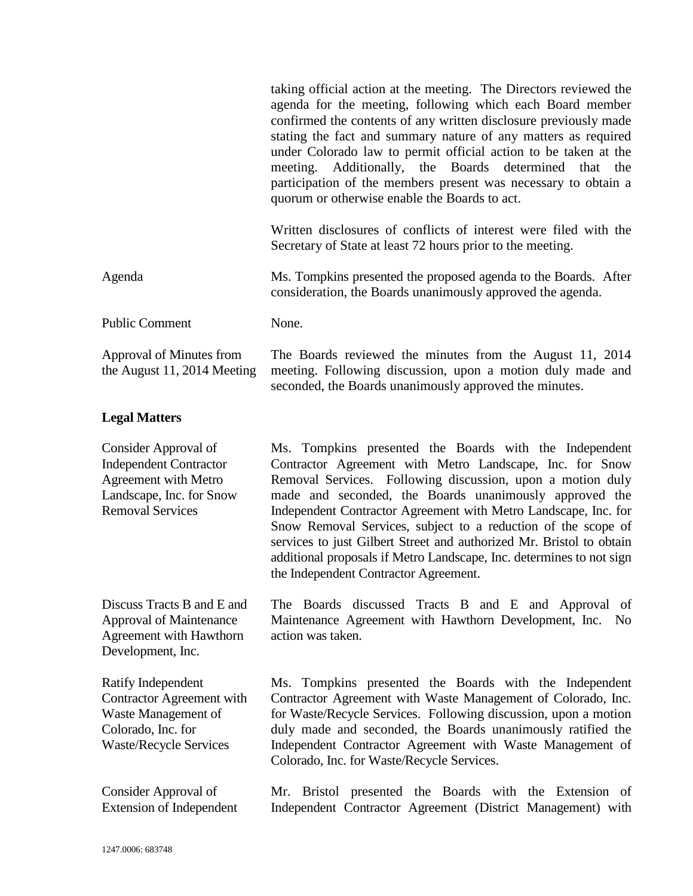|                                                                                                                                             | taking official action at the meeting. The Directors reviewed the<br>agenda for the meeting, following which each Board member<br>confirmed the contents of any written disclosure previously made<br>stating the fact and summary nature of any matters as required<br>under Colorado law to permit official action to be taken at the<br>meeting. Additionally, the Boards determined<br>that<br>the<br>participation of the members present was necessary to obtain a<br>quorum or otherwise enable the Boards to act.                                               |
|---------------------------------------------------------------------------------------------------------------------------------------------|-------------------------------------------------------------------------------------------------------------------------------------------------------------------------------------------------------------------------------------------------------------------------------------------------------------------------------------------------------------------------------------------------------------------------------------------------------------------------------------------------------------------------------------------------------------------------|
|                                                                                                                                             | Written disclosures of conflicts of interest were filed with the<br>Secretary of State at least 72 hours prior to the meeting.                                                                                                                                                                                                                                                                                                                                                                                                                                          |
| Agenda                                                                                                                                      | Ms. Tompkins presented the proposed agenda to the Boards. After<br>consideration, the Boards unanimously approved the agenda.                                                                                                                                                                                                                                                                                                                                                                                                                                           |
| <b>Public Comment</b>                                                                                                                       | None.                                                                                                                                                                                                                                                                                                                                                                                                                                                                                                                                                                   |
| Approval of Minutes from<br>the August 11, 2014 Meeting                                                                                     | The Boards reviewed the minutes from the August 11, 2014<br>meeting. Following discussion, upon a motion duly made and<br>seconded, the Boards unanimously approved the minutes.                                                                                                                                                                                                                                                                                                                                                                                        |
| <b>Legal Matters</b>                                                                                                                        |                                                                                                                                                                                                                                                                                                                                                                                                                                                                                                                                                                         |
| Consider Approval of<br><b>Independent Contractor</b><br><b>Agreement with Metro</b><br>Landscape, Inc. for Snow<br><b>Removal Services</b> | Ms. Tompkins presented the Boards with the Independent<br>Contractor Agreement with Metro Landscape, Inc. for Snow<br>Removal Services. Following discussion, upon a motion duly<br>made and seconded, the Boards unanimously approved the<br>Independent Contractor Agreement with Metro Landscape, Inc. for<br>Snow Removal Services, subject to a reduction of the scope of<br>services to just Gilbert Street and authorized Mr. Bristol to obtain<br>additional proposals if Metro Landscape, Inc. determines to not sign<br>the Independent Contractor Agreement. |
| Discuss Tracts B and E and<br><b>Approval of Maintenance</b><br>Agreement with Hawthorn<br>Development, Inc.                                | The Boards discussed Tracts B and E and Approval of<br>Maintenance Agreement with Hawthorn Development, Inc.<br>No<br>action was taken.                                                                                                                                                                                                                                                                                                                                                                                                                                 |
| Ratify Independent<br>Contractor Agreement with<br>Waste Management of<br>Colorado, Inc. for<br><b>Waste/Recycle Services</b>               | Ms. Tompkins presented the Boards with the Independent<br>Contractor Agreement with Waste Management of Colorado, Inc.<br>for Waste/Recycle Services. Following discussion, upon a motion<br>duly made and seconded, the Boards unanimously ratified the<br>Independent Contractor Agreement with Waste Management of<br>Colorado, Inc. for Waste/Recycle Services.                                                                                                                                                                                                     |
| Consider Approval of<br><b>Extension of Independent</b>                                                                                     | Mr. Bristol presented the Boards with the Extension of<br>Independent Contractor Agreement (District Management) with                                                                                                                                                                                                                                                                                                                                                                                                                                                   |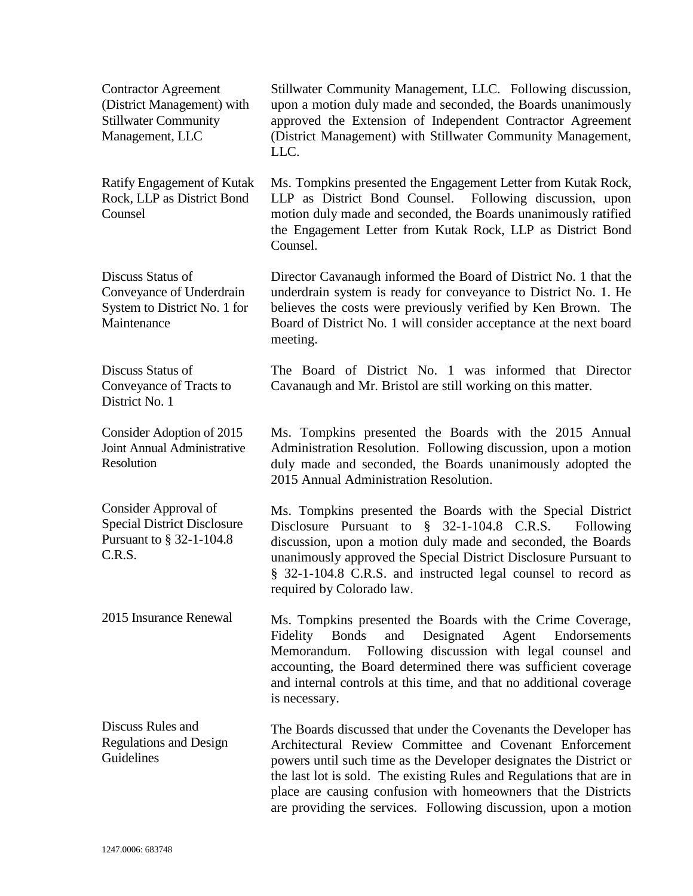| <b>Contractor Agreement</b><br>(District Management) with<br><b>Stillwater Community</b><br>Management, LLC | Stillwater Community Management, LLC. Following discussion,<br>upon a motion duly made and seconded, the Boards unanimously<br>approved the Extension of Independent Contractor Agreement<br>(District Management) with Stillwater Community Management,<br>LLC.                                                                                                                                              |
|-------------------------------------------------------------------------------------------------------------|---------------------------------------------------------------------------------------------------------------------------------------------------------------------------------------------------------------------------------------------------------------------------------------------------------------------------------------------------------------------------------------------------------------|
| Ratify Engagement of Kutak<br>Rock, LLP as District Bond<br>Counsel                                         | Ms. Tompkins presented the Engagement Letter from Kutak Rock,<br>LLP as District Bond Counsel. Following discussion, upon<br>motion duly made and seconded, the Boards unanimously ratified<br>the Engagement Letter from Kutak Rock, LLP as District Bond<br>Counsel.                                                                                                                                        |
| Discuss Status of<br>Conveyance of Underdrain<br>System to District No. 1 for<br>Maintenance                | Director Cavanaugh informed the Board of District No. 1 that the<br>underdrain system is ready for conveyance to District No. 1. He<br>believes the costs were previously verified by Ken Brown. The<br>Board of District No. 1 will consider acceptance at the next board<br>meeting.                                                                                                                        |
| Discuss Status of<br>Conveyance of Tracts to<br>District No. 1                                              | The Board of District No. 1 was informed that Director<br>Cavanaugh and Mr. Bristol are still working on this matter.                                                                                                                                                                                                                                                                                         |
| Consider Adoption of 2015<br>Joint Annual Administrative<br>Resolution                                      | Ms. Tompkins presented the Boards with the 2015 Annual<br>Administration Resolution. Following discussion, upon a motion<br>duly made and seconded, the Boards unanimously adopted the<br>2015 Annual Administration Resolution.                                                                                                                                                                              |
| Consider Approval of<br><b>Special District Disclosure</b><br>Pursuant to § 32-1-104.8<br>C.R.S.            | Ms. Tompkins presented the Boards with the Special District<br>Disclosure Pursuant to $\frac{8}{5}$ 32-1-104.8 C.R.S.<br>Following<br>discussion, upon a motion duly made and seconded, the Boards<br>unanimously approved the Special District Disclosure Pursuant to<br>§ 32-1-104.8 C.R.S. and instructed legal counsel to record as<br>required by Colorado law.                                          |
| 2015 Insurance Renewal                                                                                      | Ms. Tompkins presented the Boards with the Crime Coverage,<br><b>Bonds</b><br>Designated<br>Fidelity<br>and<br>Agent<br>Endorsements<br>Following discussion with legal counsel and<br>Memorandum.<br>accounting, the Board determined there was sufficient coverage<br>and internal controls at this time, and that no additional coverage<br>is necessary.                                                  |
| Discuss Rules and<br><b>Regulations and Design</b><br>Guidelines                                            | The Boards discussed that under the Covenants the Developer has<br>Architectural Review Committee and Covenant Enforcement<br>powers until such time as the Developer designates the District or<br>the last lot is sold. The existing Rules and Regulations that are in<br>place are causing confusion with homeowners that the Districts<br>are providing the services. Following discussion, upon a motion |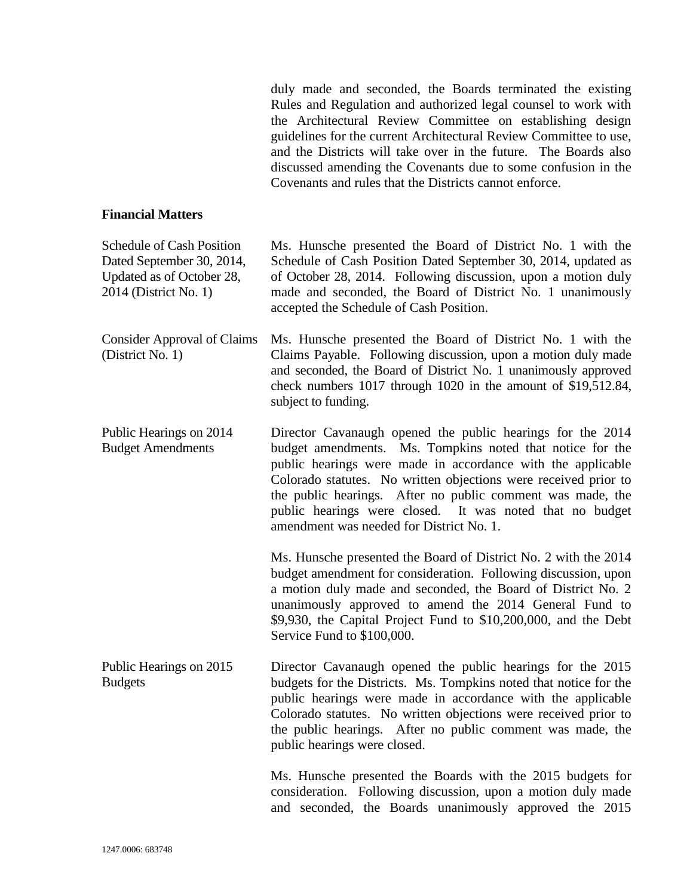|                                                                                                              | duly made and seconded, the Boards terminated the existing<br>Rules and Regulation and authorized legal counsel to work with<br>the Architectural Review Committee on establishing design<br>guidelines for the current Architectural Review Committee to use,<br>and the Districts will take over in the future. The Boards also<br>discussed amending the Covenants due to some confusion in the<br>Covenants and rules that the Districts cannot enforce. |
|--------------------------------------------------------------------------------------------------------------|--------------------------------------------------------------------------------------------------------------------------------------------------------------------------------------------------------------------------------------------------------------------------------------------------------------------------------------------------------------------------------------------------------------------------------------------------------------|
| <b>Financial Matters</b>                                                                                     |                                                                                                                                                                                                                                                                                                                                                                                                                                                              |
| Schedule of Cash Position<br>Dated September 30, 2014,<br>Updated as of October 28,<br>2014 (District No. 1) | Ms. Hunsche presented the Board of District No. 1 with the<br>Schedule of Cash Position Dated September 30, 2014, updated as<br>of October 28, 2014. Following discussion, upon a motion duly<br>made and seconded, the Board of District No. 1 unanimously<br>accepted the Schedule of Cash Position.                                                                                                                                                       |
| <b>Consider Approval of Claims</b><br>(District No. 1)                                                       | Ms. Hunsche presented the Board of District No. 1 with the<br>Claims Payable. Following discussion, upon a motion duly made<br>and seconded, the Board of District No. 1 unanimously approved<br>check numbers 1017 through 1020 in the amount of \$19,512.84,<br>subject to funding.                                                                                                                                                                        |
| Public Hearings on 2014<br><b>Budget Amendments</b>                                                          | Director Cavanaugh opened the public hearings for the 2014<br>budget amendments. Ms. Tompkins noted that notice for the<br>public hearings were made in accordance with the applicable<br>Colorado statutes. No written objections were received prior to<br>the public hearings. After no public comment was made, the<br>public hearings were closed. It was noted that no budget<br>amendment was needed for District No. 1.                              |
|                                                                                                              | Ms. Hunsche presented the Board of District No. 2 with the 2014<br>budget amendment for consideration. Following discussion, upon<br>a motion duly made and seconded, the Board of District No. 2<br>unanimously approved to amend the 2014 General Fund to<br>\$9,930, the Capital Project Fund to \$10,200,000, and the Debt<br>Service Fund to \$100,000.                                                                                                 |
| Public Hearings on 2015<br><b>Budgets</b>                                                                    | Director Cavanaugh opened the public hearings for the 2015<br>budgets for the Districts. Ms. Tompkins noted that notice for the<br>public hearings were made in accordance with the applicable<br>Colorado statutes. No written objections were received prior to<br>the public hearings. After no public comment was made, the<br>public hearings were closed.                                                                                              |
|                                                                                                              | Ms. Hunsche presented the Boards with the 2015 budgets for<br>consideration. Following discussion, upon a motion duly made<br>and seconded, the Boards unanimously approved the 2015                                                                                                                                                                                                                                                                         |